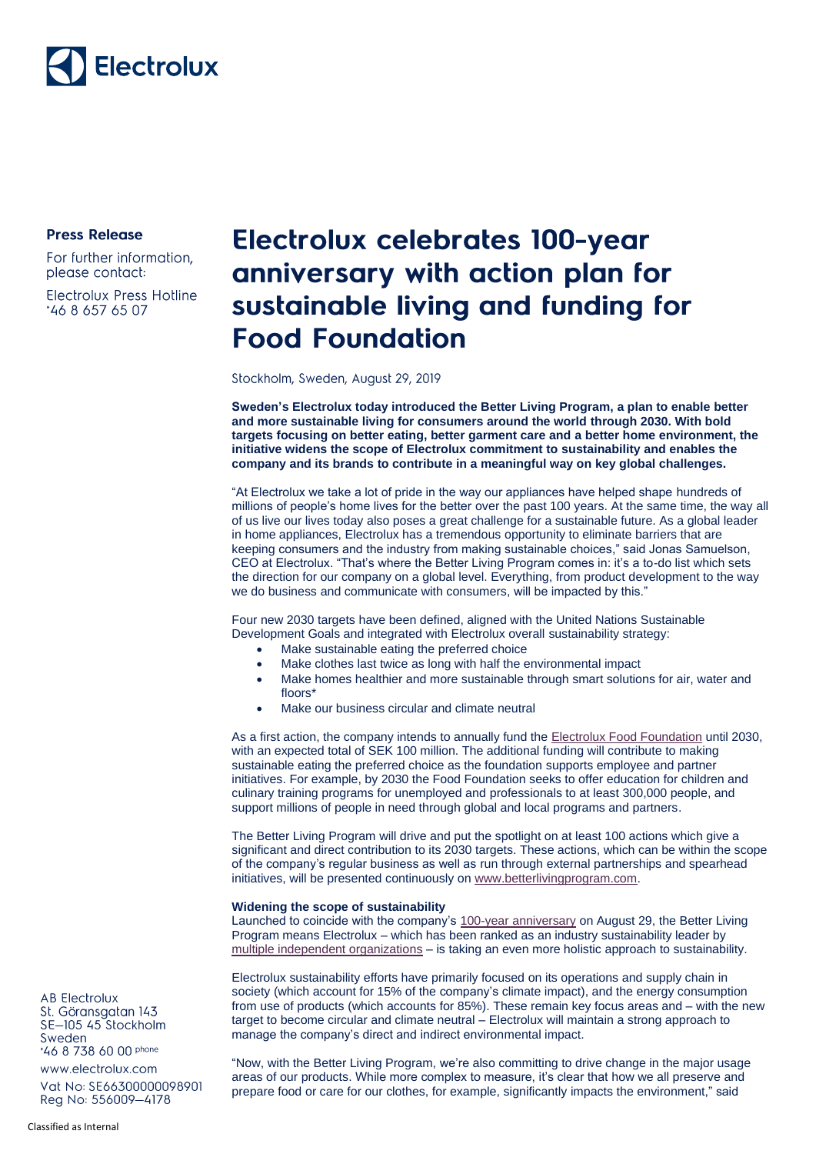## Electrolux

**Press Release** 

For further information, please contact:

**Electrolux Press Hotline** \*46 8 657 65 07

### Electrolux celebrates 100-year anniversary with action plan for sustainable living and funding for **Food Foundation**

Stockholm, Sweden, August 29, 2019

**Sweden's Electrolux today introduced the Better Living Program, a plan to enable better and more sustainable living for consumers around the world through 2030. With bold targets focusing on better eating, better garment care and a better home environment, the initiative widens the scope of Electrolux commitment to sustainability and enables the company and its brands to contribute in a meaningful way on key global challenges.** 

"At Electrolux we take a lot of pride in the way our appliances have helped shape hundreds of millions of people's home lives for the better over the past 100 years. At the same time, the way all of us live our lives today also poses a great challenge for a sustainable future. As a global leader in home appliances, Electrolux has a tremendous opportunity to eliminate barriers that are keeping consumers and the industry from making sustainable choices," said Jonas Samuelson, CEO at Electrolux. "That's where the Better Living Program comes in: it's a to-do list which sets the direction for our company on a global level. Everything, from product development to the way we do business and communicate with consumers, will be impacted by this."

Four new 2030 targets have been defined, aligned with the United Nations Sustainable Development Goals and integrated with Electrolux overall sustainability strategy:

- Make sustainable eating the preferred choice
- Make clothes last twice as long with half the environmental impact
- Make homes healthier and more sustainable through smart solutions for air, water and floors\*
- Make our business circular and climate neutral

As a first action, the company intends to annually fund the **Electrolux Food Foundation** until 2030, with an expected total of SEK 100 million. The additional funding will contribute to making sustainable eating the preferred choice as the foundation supports employee and partner initiatives. For example, by 2030 the Food Foundation seeks to offer education for children and culinary training programs for unemployed and professionals to at least 300,000 people, and support millions of people in need through global and local programs and partners.

The Better Living Program will drive and put the spotlight on at least 100 actions which give a significant and direct contribution to its 2030 targets. These actions, which can be within the scope of the company's regular business as well as run through external partnerships and spearhead initiatives, will be presented continuously on [www.betterlivingprogram.com.](http://www.betterlivingprogram.com/)

#### **Widening the scope of sustainability**

Launched to coincide with the company's [100-year anniversary](https://www.electroluxgroup.com/en/category/history/) on August 29, the Better Living Program means Electrolux – which has been ranked as an industry sustainability leader by [multiple independent organizations](https://www.electroluxgroup.com/en/category/sustainability/news-about-sustainability/) – is taking an even more holistic approach to sustainability.

Electrolux sustainability efforts have primarily focused on its operations and supply chain in society (which account for 15% of the company's climate impact), and the energy consumption from use of products (which accounts for 85%). These remain key focus areas and – with the new target to become circular and climate neutral – Electrolux will maintain a strong approach to manage the company's direct and indirect environmental impact.

"Now, with the Better Living Program, we're also committing to drive change in the major usage areas of our products. While more complex to measure, it's clear that how we all preserve and prepare food or care for our clothes, for example, significantly impacts the environment," said

**AB Electrolux** St. Göransgatan 143 SE-105 45 Stockholm Sweden \*46 8 738 60 00 phone

www.electrolux.com Vat No: SE66300000098901 Reg No: 556009-4178